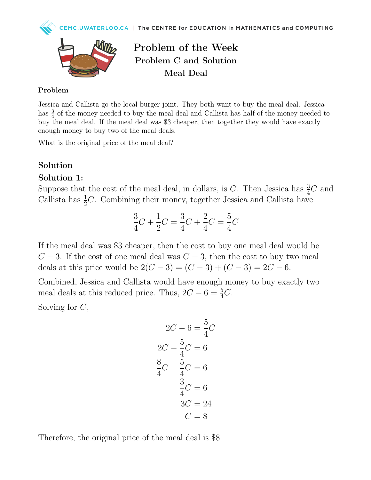



Problem of the Week Problem C and Solution Meal Deal

#### Problem

Jessica and Callista go the local burger joint. They both want to buy the meal deal. Jessica has  $\frac{3}{4}$  of the money needed to buy the meal deal and Callista has half of the money needed to buy the meal deal. If the meal deal was \$3 cheaper, then together they would have exactly enough money to buy two of the meal deals.

What is the original price of the meal deal?

### Solution

#### Solution 1:

Suppose that the cost of the meal deal, in dollars, is C. Then Jessica has  $\frac{3}{4}C$  and Callista has  $\frac{1}{2}C$ . Combining their money, together Jessica and Callista have

$$
\frac{3}{4}C + \frac{1}{2}C = \frac{3}{4}C + \frac{2}{4}C = \frac{5}{4}C
$$

If the meal deal was \$3 cheaper, then the cost to buy one meal deal would be  $C-3$ . If the cost of one meal deal was  $C-3$ , then the cost to buy two meal deals at this price would be  $2(C-3) = (C-3) + (C-3) = 2C - 6$ .

Combined, Jessica and Callista would have enough money to buy exactly two meal deals at this reduced price. Thus,  $2C - 6 = \frac{5}{4}C$ .

Solving for  $C$ ,

$$
2C - 6 = \frac{5}{4}C
$$

$$
2C - \frac{5}{4}C = 6
$$

$$
\frac{8}{4}C - \frac{5}{4}C = 6
$$

$$
\frac{3}{4}C = 6
$$

$$
3C = 24
$$

$$
C = 8
$$

Therefore, the original price of the meal deal is \$8.